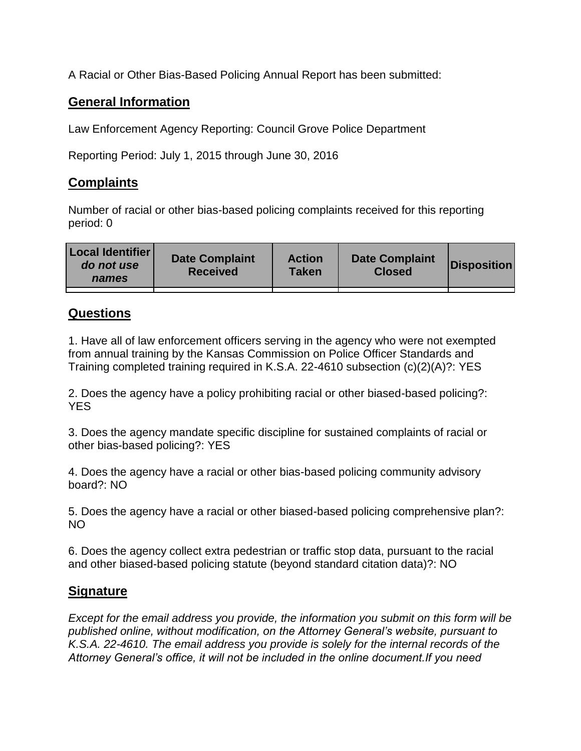A Racial or Other Bias-Based Policing Annual Report has been submitted:

## **General Information**

Law Enforcement Agency Reporting: Council Grove Police Department

Reporting Period: July 1, 2015 through June 30, 2016

## **Complaints**

Number of racial or other bias-based policing complaints received for this reporting period: 0

| <b>Local Identifier</b><br>do not use<br>names | <b>Date Complaint</b><br><b>Received</b> | <b>Action</b><br><b>Taken</b> | <b>Date Complaint</b><br><b>Closed</b> | Disposition |
|------------------------------------------------|------------------------------------------|-------------------------------|----------------------------------------|-------------|
|                                                |                                          |                               |                                        |             |

## **Questions**

1. Have all of law enforcement officers serving in the agency who were not exempted from annual training by the Kansas Commission on Police Officer Standards and Training completed training required in K.S.A. 22-4610 subsection (c)(2)(A)?: YES

2. Does the agency have a policy prohibiting racial or other biased-based policing?: YES

3. Does the agency mandate specific discipline for sustained complaints of racial or other bias-based policing?: YES

4. Does the agency have a racial or other bias-based policing community advisory board?: NO

5. Does the agency have a racial or other biased-based policing comprehensive plan?: NO

6. Does the agency collect extra pedestrian or traffic stop data, pursuant to the racial and other biased-based policing statute (beyond standard citation data)?: NO

## **Signature**

*Except for the email address you provide, the information you submit on this form will be published online, without modification, on the Attorney General's website, pursuant to K.S.A. 22-4610. The email address you provide is solely for the internal records of the Attorney General's office, it will not be included in the online document.If you need*